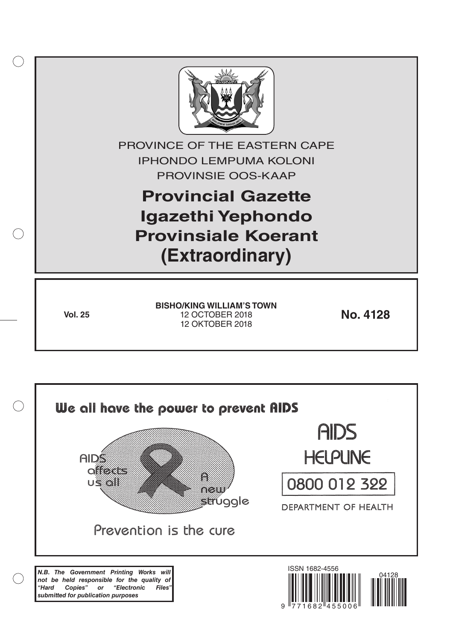

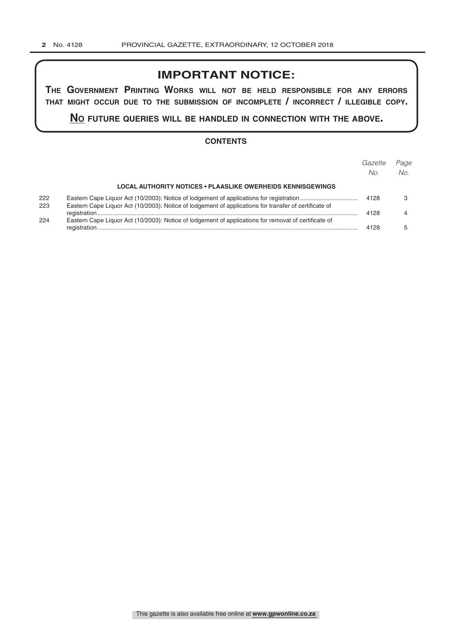# **IMPORTANT NOTICE:**

**The GovernmenT PrinTinG Works Will noT be held resPonsible for any errors ThaT miGhT occur due To The submission of incomPleTe / incorrecT / illeGible coPy.**

**no fuTure queries Will be handled in connecTion WiTh The above.**

# **CONTENTS**

|            |                                                                                                       | Gazette<br>No. | Paae<br>No. |
|------------|-------------------------------------------------------------------------------------------------------|----------------|-------------|
|            | <b>LOCAL AUTHORITY NOTICES • PLAASLIKE OWERHEIDS KENNISGEWINGS</b>                                    |                |             |
| 222<br>223 | Eastern Cape Liquor Act (10/2003): Notice of lodgement of applications for transfer of certificate of | 4128           |             |
|            |                                                                                                       | 4128           |             |
| 224        | Eastern Cape Liquor Act (10/2003): Notice of lodgement of applications for removal of certificate of  | 4128           |             |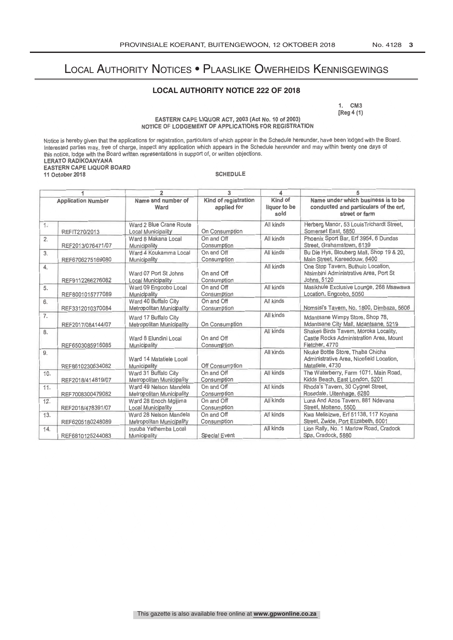# Local Authority Notices • Plaaslike Owerheids Kennisgewings

# **LOCAL AUTHORITY NOTICE 222 OF 2018**

 $1. \quad 0.010$  $[rad + (1)$ 

### EASTERN CAPE LIQUOR ACT, 2003 (Act No. 10 of 2003) NOTICE OF LODGEMENT OF APPLICATIONS FOR REGISTRATION

Notice is hereby given that the applications for registration, particulars of which appear in the Schedule hereunder, have been lodged with the Board. Interested parties may, free of charge, inspect any application which appears in the Schedule hereunder and may within twenty one days of this notice, lodge with the Board written representations in support of, or written objections. LERATO RADIKOANYANA EASTERN CAPE LIQUOR BOARD 11 October 2018 SCHEDULE

|                           |                   | $\overline{2}$                                      | 3                                   | 4                               |                                                                                                    |
|---------------------------|-------------------|-----------------------------------------------------|-------------------------------------|---------------------------------|----------------------------------------------------------------------------------------------------|
| <b>Application Number</b> |                   | Name and number of<br>Ward                          | Kind of registration<br>applied for | Kind of<br>liquor to be<br>sold | Name under which business is to be<br>conducted and particulars of the erf,<br>street or farm      |
| 1.                        | REFIT270/2013     | Ward 2 Blue Crane Route<br>Local Municipality       | On Consumption                      | All kinds                       | Herberg Manor, 53 LouisTrichardt Street,<br>Somerset East, 5850                                    |
| 2.                        | REF2013/076471/07 | Ward 8 Makana Local<br>Municipality                 | On and Off<br>Consumption           | All kinds                       | Phoenix Sport Bar, Erf 3954, 6 Dundas<br>Street, Grahamstown, 6139                                 |
| 3.                        | REF6706275169080  | Ward 4 Koukamma Local<br>Municipality               | On and Off<br>Consumption           | All kinds                       | Bu Die Hys, Blouberg Mall, Shop 19 & 20,<br>Main Street, Kareedouw, 6400                           |
| 4.                        | REF9112266276082  | Ward 07 Port St Johns<br>Local Municipality         | On and Off<br>Consumption           | All kinds                       | One Stop Tavern, Buthulo Location,<br>Ntsimbini Administrative Area, Port St<br>Johns, 5120        |
| 5.                        | REF8001015777089  | Ward 09 Engcobo Local<br>Municipality               | On and Off<br>Consumption           | All kinds                       | Masikhule Exclusive Lounge, 268 Msawawa<br>Location, Engcobo, 5050                                 |
| 6.                        | REF3312010370084  | Ward 40 Buffalo City<br>Metropolitan Municipality   | On and Off<br>Consumption           | All kinds                       | Nomsisi's Tavern, No. 1800, Dimbaza, 5606                                                          |
| 7.                        | REF2017/084144/07 | Ward 17 Buffalo City<br>Metropolitan Municipality   | On Consumption                      | All kinds                       | Mdantsane Wimpy Store, Shop 78,<br>Mdantsane City Mall, Mdantsane, 5219                            |
| 8.                        | REF6503085916085  | Ward 8 Elundini Local<br>Municipality               | On and Off<br>Consumption           | All kinds                       | Shakes Birds Tavern, Moroka Locality,<br>Castle Rocks Administration Area, Mount<br>Fletcher, 4770 |
| 9.                        | REF8610230634082  | Ward 14 Matatiele Local<br>Municipality             | Off Consumption                     | All kinds                       | Nkuke Bottle Store, Thaba Chicha<br>Administrative Area, Nicefield Location,<br>Matatiele, 4730    |
| 10.                       | REF2018/414819/07 | Ward 31 Buffalo City<br>Metropolitan Municipality   | On and Off<br>Consumption           | All kinds                       | The Waterberry, Farm 1071, Main Road,<br>Kidds Beach, East London, 5201                            |
| 11.                       | REF7008300479082  | Ward 49 Nelson Mandela<br>Metropolitan Municipality | On and Off<br>Consumption           | All kinds                       | Rhoda's Tavern, 30 Cygnet Street,<br>Rosedale, Uitenhage, 6280                                     |
| 12.                       | REF2018/478391/07 | Ward 28 Enoch Mgijima<br>Local Municipality         | On and Off<br>Consumption           | All kinds                       | Luna And Azos Tavern, 881 Ndevana<br>Street, Molteno, 5500                                         |
| 13.                       | REF6205180248089  | Ward 28 Nelson Mandela<br>Metropolitan Municipality | On and Off<br>Consumption           | All kinds                       | Kwa Melisizwe, Erf 51138, 117 Koyana<br>Street, Zwide, Port Elizabeth, 6001                        |
| 14.                       | REF6810125244083  | Inxuba Yethemba Local<br>Municipality               | <b>Special Event</b>                | All kinds                       | Lion Rally, No. 1 Marlow Road, Cradock<br>Spa, Cradock, 5880                                       |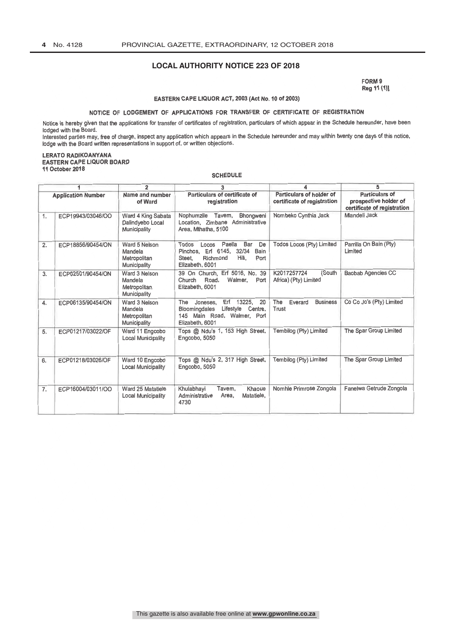# **LOCAL AUTHORITY NOTICE 223 OF 2018**

Form and the state of the state of the state of the state of the state of the state of the state of the state of the state of the state of the state of the state of the state of the state of the state of the state of the s Reg 11(1)]

### EASTERN CAPE LIQUOR ACT, 2003 (Act No. 10 of 2003)

## NOTICE OF LODGEMENT OF APPLICATIONS FOR TRANSFER OF CERTIFICATE OF REGISTRATION

Notice is hereby given that the applications for transfer of certificates of registration, particulars of which appear in the Schedule hereunder, have been lodged with the Board.

Interested parties may, free of charge, inspect any application which appears in the Schedule hereunder and may within twenty one days of this notice, lodge with the Board written representations in support of, or written objections.

#### LERATO RADIKOANYANA EASTERN CAPE LIQUOR BOARD 11 October 2018

SCHEDULE

|                           |                   | $\overline{2}$<br>3                                      |                                                                                                                                       |                                                         | 5                                                                      |  |
|---------------------------|-------------------|----------------------------------------------------------|---------------------------------------------------------------------------------------------------------------------------------------|---------------------------------------------------------|------------------------------------------------------------------------|--|
| <b>Application Number</b> |                   | Name and number<br>of Ward                               | Particulars of certificate of<br>registration                                                                                         | Particulars of holder of<br>certificate of registration | Particulars of<br>prospective holder of<br>certificate of registration |  |
| 1.                        | ECP19943/03046/OO | Ward 4 King Sabata<br>Dalindyebo Local<br>Municipality   | Nophumzile<br>Bhongweni<br>Tavem,<br>Location, Zimbane Administrative<br>Area, Mthatha, 5100                                          | Nombeko Cynthia Jack                                    | Mlandeli Jack                                                          |  |
| 2.                        | ECP18856/90454/ON | Ward 5 Nelson<br>Mandela<br>Metropolitan<br>Municipality | Todos<br>Paella<br>Bar<br>De<br>Locos<br>Bain<br>Pinchos, Erf 6145, 32/34<br>Hill.<br>Steet.<br>Richmond<br>Port<br>Elizabeth, 6001   | Todos Locos (Pty) Limited                               | Parrilla On Bain (Pty)<br>Limited                                      |  |
| 3.                        | ECP02501/90454/ON | Ward 3 Nelson<br>Mandela<br>Metropolitan<br>Municipality | 39 On Church, Erf 5016, No. 39<br>Walmer,<br>Road.<br>Port<br>Church<br>Elizabeth, 6001                                               | K2017257724<br>(South<br>Africa) (Pty) Limited          | <b>Baobab Agencies CC</b>                                              |  |
| 4.                        | ECP06135/90454/ON | Ward 3 Nelson<br>Mandela<br>Metropolitan<br>Municipality | 13225,<br>20<br>The<br>Erf<br>Joneses.<br>Lifestyle Centre,<br><b>Bloomingdales</b><br>145 Main Road, Walmer, Port<br>Elizabeth, 6001 | The<br>Everard<br><b>Business</b><br>Trust              | Co Co Jo's (Pty) Limited                                               |  |
| 5.                        | ECP01217/03022/OF | Ward 11 Engcobo<br><b>Local Municipality</b>             | Tops @ Ndu's 1, 153 High Street,<br>Engcobo, 5050                                                                                     | Tembilog (Pty) Limited                                  | The Spar Group Limited                                                 |  |
| 6.                        | ECP01218/03026/OF | Ward 10 Engcobo<br><b>Local Municipality</b>             | Tops @ Ndu's 2, 317 High Street,<br>Engcobo, 5050                                                                                     | Tembilog (Pty) Limited                                  | The Spar Group Limited                                                 |  |
| 7.                        | ECP16004/03011/OO | Ward 25 Matatiele<br><b>Local Municipality</b>           | Khulabhayi<br>Khaoue<br>Tavem.<br>Administrative<br>Matatiele,<br>Area,<br>4730                                                       | Nomhle Primrose Zongola                                 | Fanelwa Getrude Zongola                                                |  |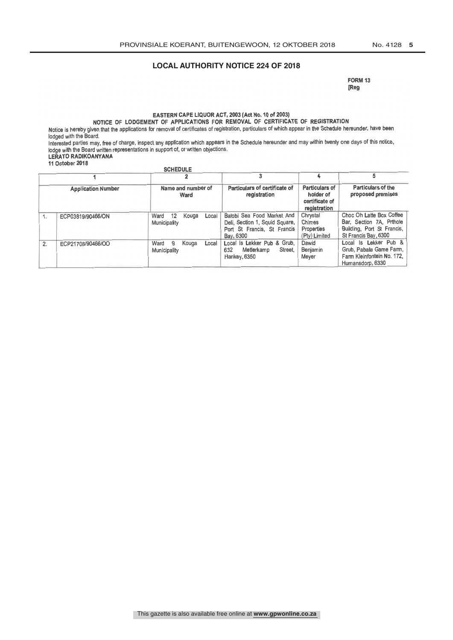## **LOCAL AUTHORITY NOTICE 224 OF 2018**

FORM 13 [Reg

EASTERN CAPE LIQUOR ACT, 2003 (Act No. 10 of 2003)<br>NOTICE OF LODGEMENT OF APPLICATIONS FOR REMOVAL OF CERTIFICATE OF REGISTRATION NOTICE OF LODGEMENT OF APPLICATIONS FOR REMOVAL OF CERTIFICATE OF REGISTRATION

Notice is hereby given that the applications for removal of certificates of registration, particulars of which appear in the Schedule hereunder, have been lodged with the Board.

Interested parties may, free of charge, inspect any application which appears in the Schedule hereunder and may within twenty one days of this notice, lodge with the Board written representations in support of, or written objections.

LERATO RADIKOANYANA

11 October 2018

**SCHEDULE** 

|    | <b>Application Number</b> | Name and number of<br>Ward                   | Particulars of certificate of<br>registration                                                            | <b>Particulars of</b><br>holder of<br>certificate of<br>registration | <b>Particulars of the</b><br>proposed premises                                                             |
|----|---------------------------|----------------------------------------------|----------------------------------------------------------------------------------------------------------|----------------------------------------------------------------------|------------------------------------------------------------------------------------------------------------|
|    | ECP03819/90466/ON         | 12<br>Kouga<br>Ward<br>Local<br>Municipality | Balobi Sea Food Market And<br>Deli, Section 1, Squid Square,<br>Port St Francis, St Francis<br>Bay, 6300 | Chrystal<br>Chimes<br>Properties<br>(Pty) Limited                    | Choc Oh Latte Box Coffee<br>Bar, Section 7A, Prthole<br>Building, Port St Francis,<br>St Francis Bay, 6300 |
| 2. | ECP21708/90466/OO         | Ward<br>9<br>Kouga<br>Local<br>Municipality  | Local Is Lekker Pub & Grub.<br>Metlerkamp<br>632<br>Street.<br>Hankey, 6350                              | Dawid<br>Benjamin<br>Meyer                                           | Local Is Lekker Pub &<br>Grub, Pabala Game Farm,<br>Farm Kleinfontein No. 172.<br>Humansdorp, 6330         |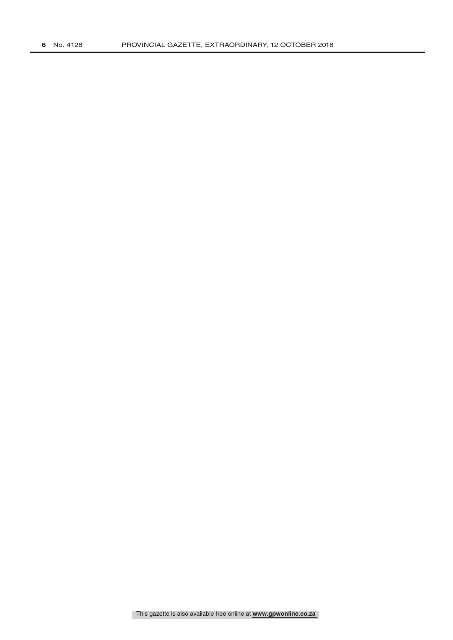This gazette is also available free online at **www.gpwonline.co.za**